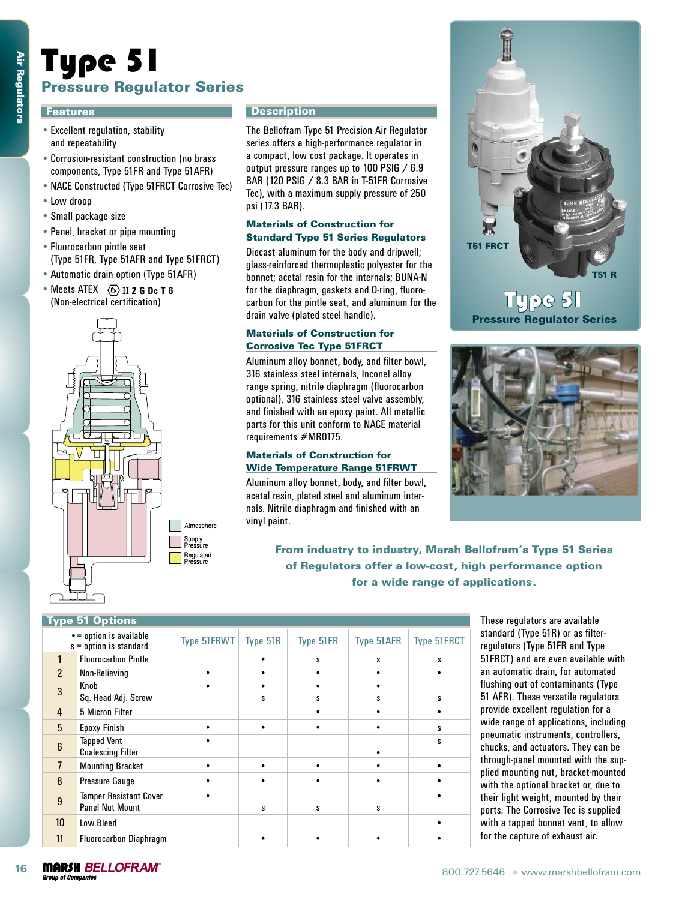#### **Features**

- Excellent regulation, stability and repeatability
- • Corrosion-resistant construction (no brass components, Type 51FR and Type 51AFR)
- NACE Constructed (Type 51FRCT Corrosive Tec)
- • Low droop
- • Small package size
- Panel, bracket or pipe mounting
- • Fluorocarbon pintle seat (Type 51FR, Type 51AFR and Type 51FRCT)
- • Automatic drain option (Type 51AFR)
- Meets ATEX  $\langle \mathbf{\hat{x}} \rangle$  II **2 G Dc T 6** (Non-electrical certification)



### Description

## Materials of Construction for Standard Type 51 Series Regulators

#### Materials of Construction for Corrosive Tec Type 51FRCT

#### Materials of Construction for Wide Temperature Range 51FRWT



# Type 51 Pressure Regulator Series



# From industry to industry, Marsh Bellofram's Type 51 Series of Regulators offer a low-cost, high performance option for a wide range of applications.

|                                                                                                                                                                                                                                                                                                                                                                                                                                                                                                    | <b>Features</b>                                             |                                                                                                                                                                                                                                                                               | <b>Description</b>                                                                                                                                                                                                                                                                                                                                                                                                                                                                                                                                                                                                                                                                                                                                                                                                                                                                                                                                                                                                                                                                                                                                                                                                                              |                        |                        |             |                                                                                                                      |
|----------------------------------------------------------------------------------------------------------------------------------------------------------------------------------------------------------------------------------------------------------------------------------------------------------------------------------------------------------------------------------------------------------------------------------------------------------------------------------------------------|-------------------------------------------------------------|-------------------------------------------------------------------------------------------------------------------------------------------------------------------------------------------------------------------------------------------------------------------------------|-------------------------------------------------------------------------------------------------------------------------------------------------------------------------------------------------------------------------------------------------------------------------------------------------------------------------------------------------------------------------------------------------------------------------------------------------------------------------------------------------------------------------------------------------------------------------------------------------------------------------------------------------------------------------------------------------------------------------------------------------------------------------------------------------------------------------------------------------------------------------------------------------------------------------------------------------------------------------------------------------------------------------------------------------------------------------------------------------------------------------------------------------------------------------------------------------------------------------------------------------|------------------------|------------------------|-------------|----------------------------------------------------------------------------------------------------------------------|
| • Excellent regulation, stability<br>and repeatability<br>• Corrosion-resistant construction (no brass<br>components, Type 51FR and Type 51AFR)<br>• NACE Constructed (Type 51FRCT Corrosive Tec)<br>• Low droop<br>• Small package size<br>• Panel, bracket or pipe mounting<br>• Fluorocarbon pintle seat<br>(Type 51FR, Type 51AFR and Type 51FRCT)<br>• Automatic drain option (Type 51AFR)<br>• Meets ATEX $\langle \mathbf{\hat{x}} \rangle$ II 2 G Dc T 6<br>(Non-electrical certification) |                                                             |                                                                                                                                                                                                                                                                               | The Bellofram Type 51 Precision Air Regulator<br>series offers a high-performance regulator in<br>a compact, low cost package. It operates in<br>output pressure ranges up to 100 PSIG / 6.9<br>BAR (120 PSIG / 8.3 BAR in T-51FR Corrosive<br>Tec), with a maximum supply pressure of 250<br>psi (17.3 BAR).<br><b>Materials of Construction for</b><br><b>Standard Type 51 Series Regulators</b><br>Diecast aluminum for the body and dripwell;<br>glass-reinforced thermoplastic polyester for the<br>bonnet; acetal resin for the internals; BUNA-N<br>for the diaphragm, gaskets and O-ring, fluoro-<br>carbon for the pintle seat, and aluminum for the<br>drain valve (plated steel handle).<br><b>Materials of Construction for</b><br><b>Corrosive Tec Type 51FRCT</b><br>Aluminum alloy bonnet, body, and filter bowl,<br>316 stainless steel internals, Inconel alloy<br>range spring, nitrile diaphragm (fluorocarbon<br>optional), 316 stainless steel valve assembly,<br>and finished with an epoxy paint. All metallic<br>parts for this unit conform to NACE material<br>requirements #MR0175.<br><b>Materials of Construction for</b><br><b>Wide Temperature Range 51FRWT</b><br>Aluminum alloy bonnet, body, and filter bowl, |                        |                        |             | <b>T51 FRCT</b><br><b>T51 R</b><br><b>TAUGE PIL</b><br><b>Pressure Regulator Series</b>                              |
|                                                                                                                                                                                                                                                                                                                                                                                                                                                                                                    |                                                             | acetal resin, plated steel and aluminum inter-<br>nals. Nitrile diaphragm and finished with an<br>vinyl paint.<br>From industry to industry, Marsh Bellofram's Type 51 Series<br>of Regulators offer a low-cost, high performance option<br>for a wide range of applications. |                                                                                                                                                                                                                                                                                                                                                                                                                                                                                                                                                                                                                                                                                                                                                                                                                                                                                                                                                                                                                                                                                                                                                                                                                                                 |                        |                        |             |                                                                                                                      |
|                                                                                                                                                                                                                                                                                                                                                                                                                                                                                                    |                                                             | Supply<br>Pressure<br>Regulated<br>Pressure                                                                                                                                                                                                                                   |                                                                                                                                                                                                                                                                                                                                                                                                                                                                                                                                                                                                                                                                                                                                                                                                                                                                                                                                                                                                                                                                                                                                                                                                                                                 |                        |                        |             |                                                                                                                      |
|                                                                                                                                                                                                                                                                                                                                                                                                                                                                                                    | <b>Type 51 Options</b>                                      |                                                                                                                                                                                                                                                                               |                                                                                                                                                                                                                                                                                                                                                                                                                                                                                                                                                                                                                                                                                                                                                                                                                                                                                                                                                                                                                                                                                                                                                                                                                                                 |                        |                        |             | These regulators are available<br>standard (Type 51R) or as filter-                                                  |
|                                                                                                                                                                                                                                                                                                                                                                                                                                                                                                    | $\bullet$ = option is available<br>$s =$ option is standard | Type 51FRWT                                                                                                                                                                                                                                                                   | Type 51R                                                                                                                                                                                                                                                                                                                                                                                                                                                                                                                                                                                                                                                                                                                                                                                                                                                                                                                                                                                                                                                                                                                                                                                                                                        | Type 51FR              | Type 51AFR             | Type 51FRCT | regulators (Type 51FR and Type                                                                                       |
| $\mathbf{1}$                                                                                                                                                                                                                                                                                                                                                                                                                                                                                       | <b>Fluorocarbon Pintle</b>                                  |                                                                                                                                                                                                                                                                               | $\bullet$                                                                                                                                                                                                                                                                                                                                                                                                                                                                                                                                                                                                                                                                                                                                                                                                                                                                                                                                                                                                                                                                                                                                                                                                                                       | s                      | s                      | s           | 51FRCT) and are even available with                                                                                  |
| $\overline{2}$                                                                                                                                                                                                                                                                                                                                                                                                                                                                                     | Non-Relieving<br>Knob                                       | $\bullet$                                                                                                                                                                                                                                                                     |                                                                                                                                                                                                                                                                                                                                                                                                                                                                                                                                                                                                                                                                                                                                                                                                                                                                                                                                                                                                                                                                                                                                                                                                                                                 | $\bullet$<br>$\bullet$ | $\bullet$<br>$\bullet$ | $\bullet$   | an automatic drain, for automated<br>flushing out of contaminants (Type                                              |
| $\mathbf{3}$                                                                                                                                                                                                                                                                                                                                                                                                                                                                                       | Sq. Head Adj. Screw                                         |                                                                                                                                                                                                                                                                               | S                                                                                                                                                                                                                                                                                                                                                                                                                                                                                                                                                                                                                                                                                                                                                                                                                                                                                                                                                                                                                                                                                                                                                                                                                                               | S                      | s                      | s           | 51 AFR). These versatile regulators                                                                                  |
| 4                                                                                                                                                                                                                                                                                                                                                                                                                                                                                                  | 5 Micron Filter                                             |                                                                                                                                                                                                                                                                               |                                                                                                                                                                                                                                                                                                                                                                                                                                                                                                                                                                                                                                                                                                                                                                                                                                                                                                                                                                                                                                                                                                                                                                                                                                                 | $\bullet$              | $\bullet$              | $\bullet$   | provide excellent regulation for a                                                                                   |
| 5                                                                                                                                                                                                                                                                                                                                                                                                                                                                                                  | <b>Epoxy Finish</b>                                         | $\bullet$                                                                                                                                                                                                                                                                     | $\bullet$                                                                                                                                                                                                                                                                                                                                                                                                                                                                                                                                                                                                                                                                                                                                                                                                                                                                                                                                                                                                                                                                                                                                                                                                                                       | $\bullet$              | $\bullet$              | S           | wide range of applications, including                                                                                |
| $6\phantom{a}$                                                                                                                                                                                                                                                                                                                                                                                                                                                                                     | <b>Tapped Vent</b>                                          |                                                                                                                                                                                                                                                                               |                                                                                                                                                                                                                                                                                                                                                                                                                                                                                                                                                                                                                                                                                                                                                                                                                                                                                                                                                                                                                                                                                                                                                                                                                                                 |                        |                        | s           | pneumatic instruments, controllers,<br>chucks, and actuators. They can be                                            |
| $\overline{7}$                                                                                                                                                                                                                                                                                                                                                                                                                                                                                     | <b>Coalescing Filter</b>                                    | $\bullet$                                                                                                                                                                                                                                                                     | $\bullet$                                                                                                                                                                                                                                                                                                                                                                                                                                                                                                                                                                                                                                                                                                                                                                                                                                                                                                                                                                                                                                                                                                                                                                                                                                       | $\bullet$              | $\bullet$<br>$\bullet$ | $\bullet$   | through-panel mounted with the sup-                                                                                  |
| 8                                                                                                                                                                                                                                                                                                                                                                                                                                                                                                  | <b>Mounting Bracket</b><br><b>Pressure Gauge</b>            | $\bullet$                                                                                                                                                                                                                                                                     | $\bullet$                                                                                                                                                                                                                                                                                                                                                                                                                                                                                                                                                                                                                                                                                                                                                                                                                                                                                                                                                                                                                                                                                                                                                                                                                                       | $\bullet$              | $\bullet$              |             | plied mounting nut, bracket-mounted                                                                                  |
| $\boldsymbol{9}$                                                                                                                                                                                                                                                                                                                                                                                                                                                                                   | <b>Tamper Resistant Cover</b><br><b>Panel Nut Mount</b>     | $\bullet$                                                                                                                                                                                                                                                                     | s                                                                                                                                                                                                                                                                                                                                                                                                                                                                                                                                                                                                                                                                                                                                                                                                                                                                                                                                                                                                                                                                                                                                                                                                                                               | s                      | s                      |             | with the optional bracket or, due to<br>their light weight, mounted by their<br>ports. The Corrosive Tec is supplied |
| 10                                                                                                                                                                                                                                                                                                                                                                                                                                                                                                 | Low Bleed                                                   |                                                                                                                                                                                                                                                                               |                                                                                                                                                                                                                                                                                                                                                                                                                                                                                                                                                                                                                                                                                                                                                                                                                                                                                                                                                                                                                                                                                                                                                                                                                                                 |                        |                        | $\bullet$   | with a tapped bonnet vent, to allow<br>for the capture of exhaust air.                                               |